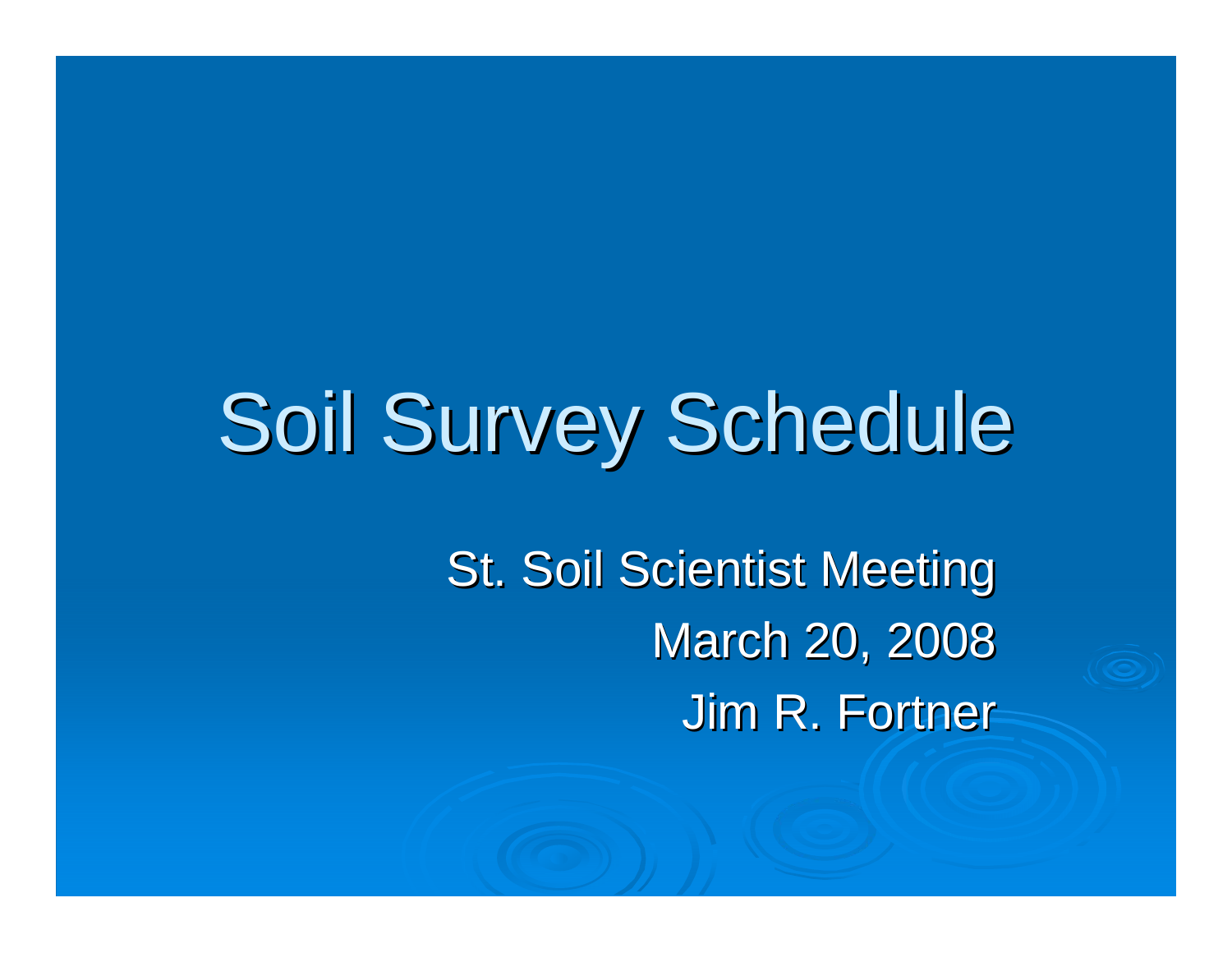# Soil Survey Schedule

**St. Soil Scientist Meeting** March 20, 2008 **Jim R. Fortner**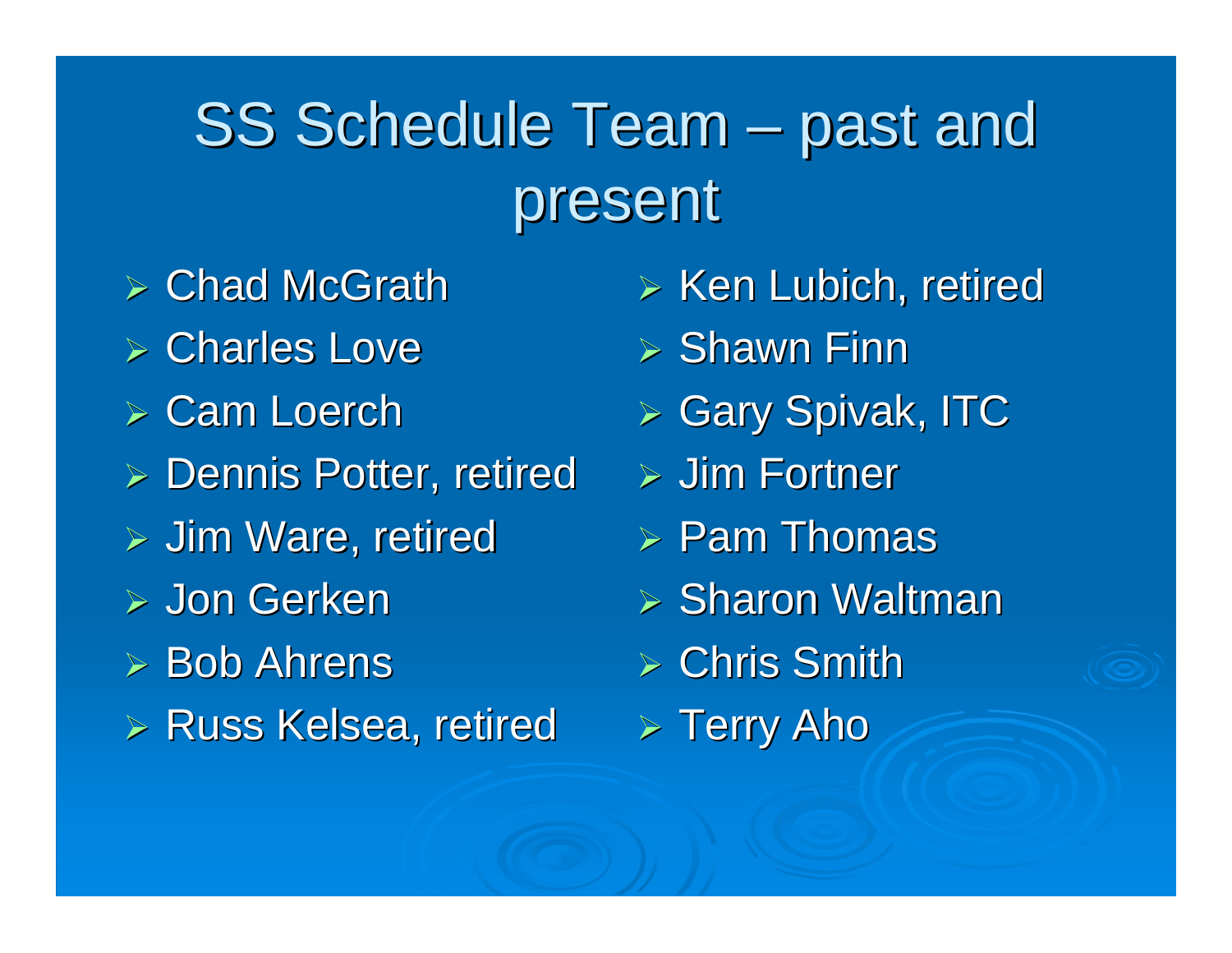#### SS Schedule Team  $-$  past and present

- $\triangleright$  Chad McGrath
- $\triangleright$  Charles Love
- $\triangleright$  Cam Loerch
- $\triangleright$  Dennis Potter, retired
- $>$  Jim Ware, retired
- ¾ Jon Gerken
- $\triangleright$  Bob Ahrens
- **Exalle Shares Kelsea, retired**
- $>$  Ken Lubich, retired
- $\triangleright$  Shawn Finn
- **≻ Gary Spivak, ITC**
- $\triangleright$  Jim Fortner
- $\triangleright$  Pam Thomas
- $\triangleright$  Sharon Waltman
- $\triangleright$  Chris Smith
- $>$  Terry Aho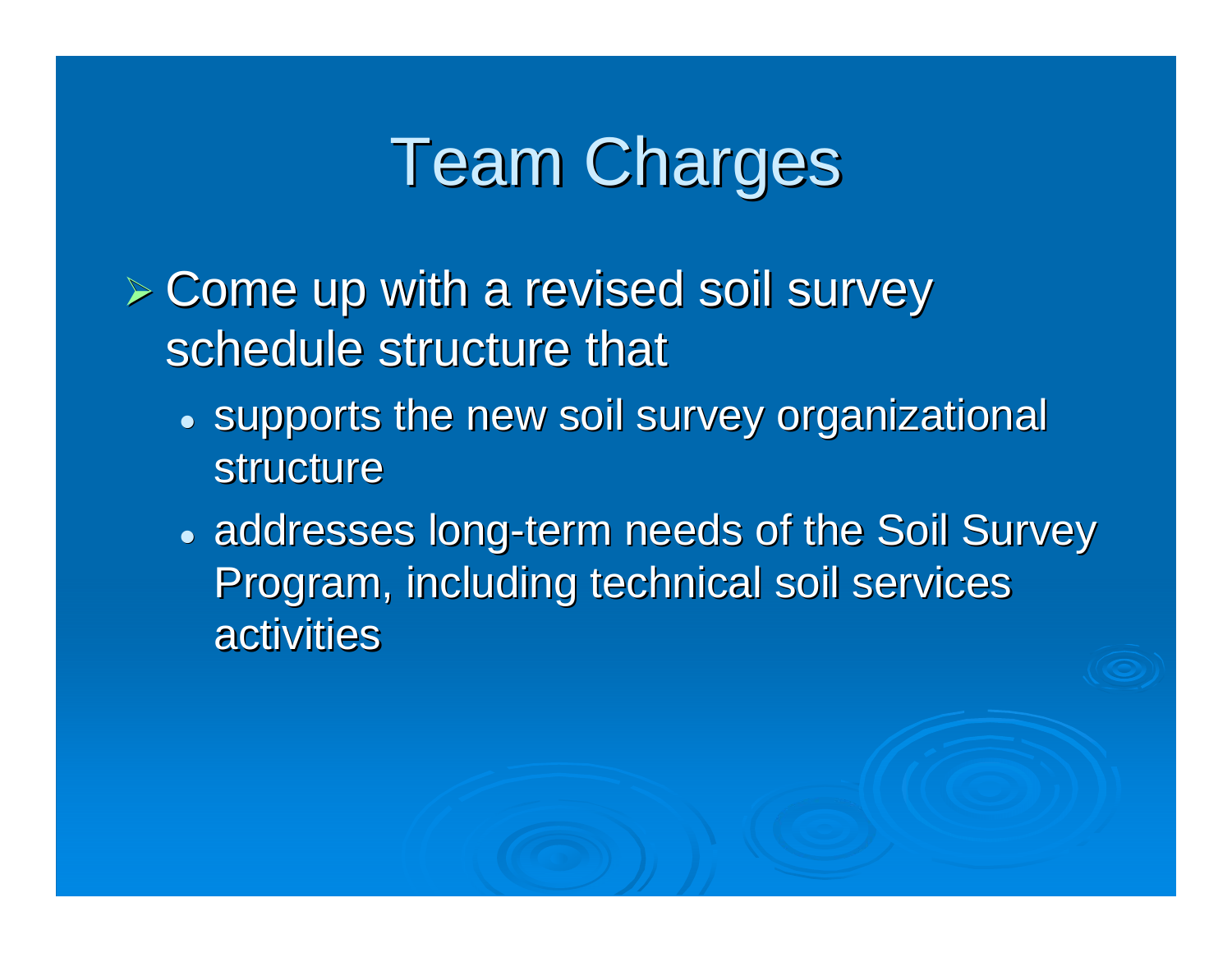# **Team Charges**

- $\triangleright$  Come up with a revised soil survey schedule structure that
	- $\bullet\,$  supports the new soil survey organizational structure
	- addresses long-term needs of the Soil Survey Program, including technical soil services activities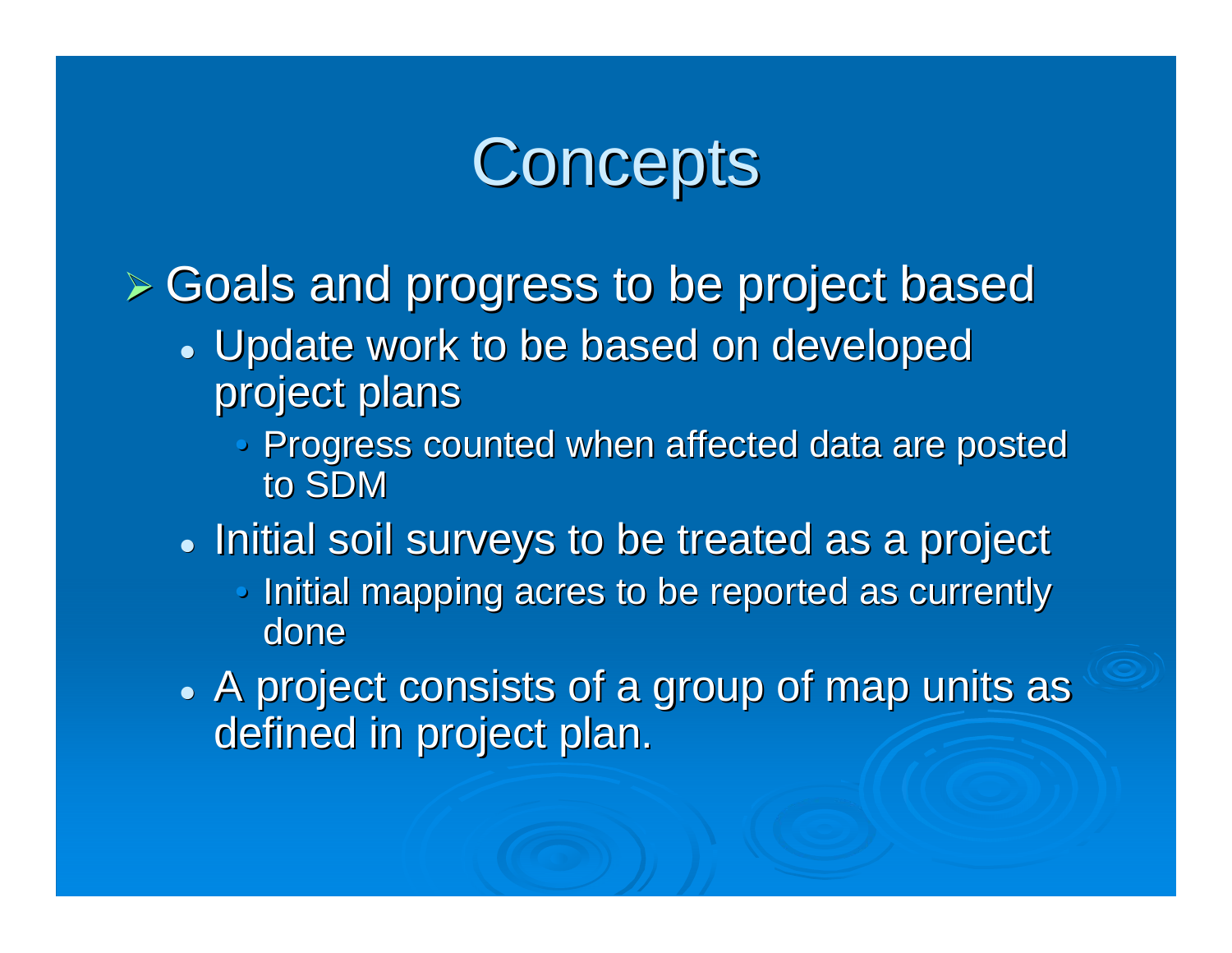# **Concepts**

 $>$  Goals and progress to be project based

- Update work to be based on developed project plans
	- $\mathbb{C}$ Progress counted when affected data are posted to SDM
- $\bullet\,$  Initial soil surveys to be treated as a project
	- $\mathbb{C}$ Initial mapping acres to be reported as currently done
- $\bullet$  A project consists of a group of map units as  $\bullet$ defined in project plan.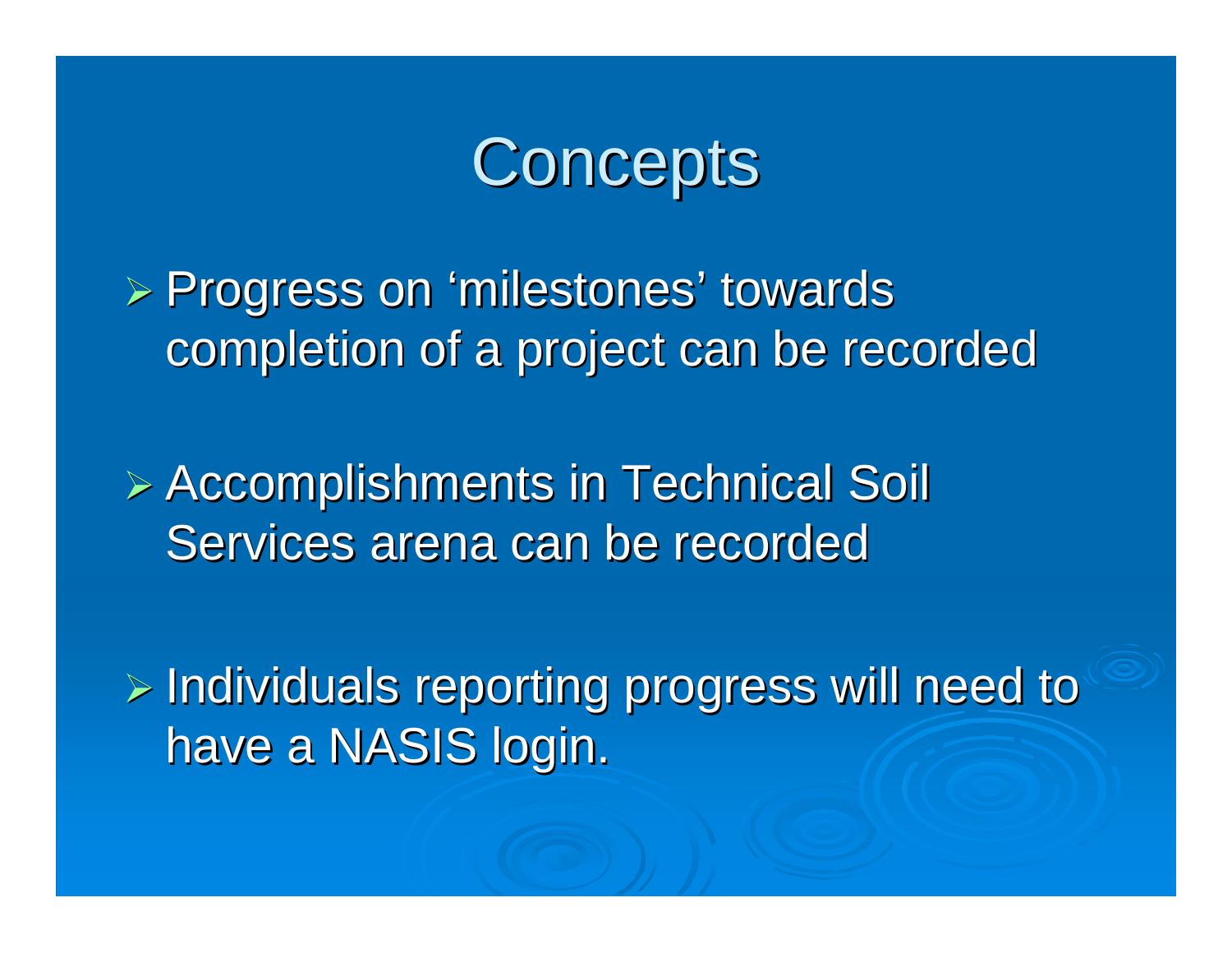

≽ Progress on 'milestones' towards completion of a project can be recorded

¾ Accomplishments in Technical Soil Accomplishments in Technical Soil Services arena can be recorded

 $\triangleright$  Individuals reporting progress will need to have a NASIS login.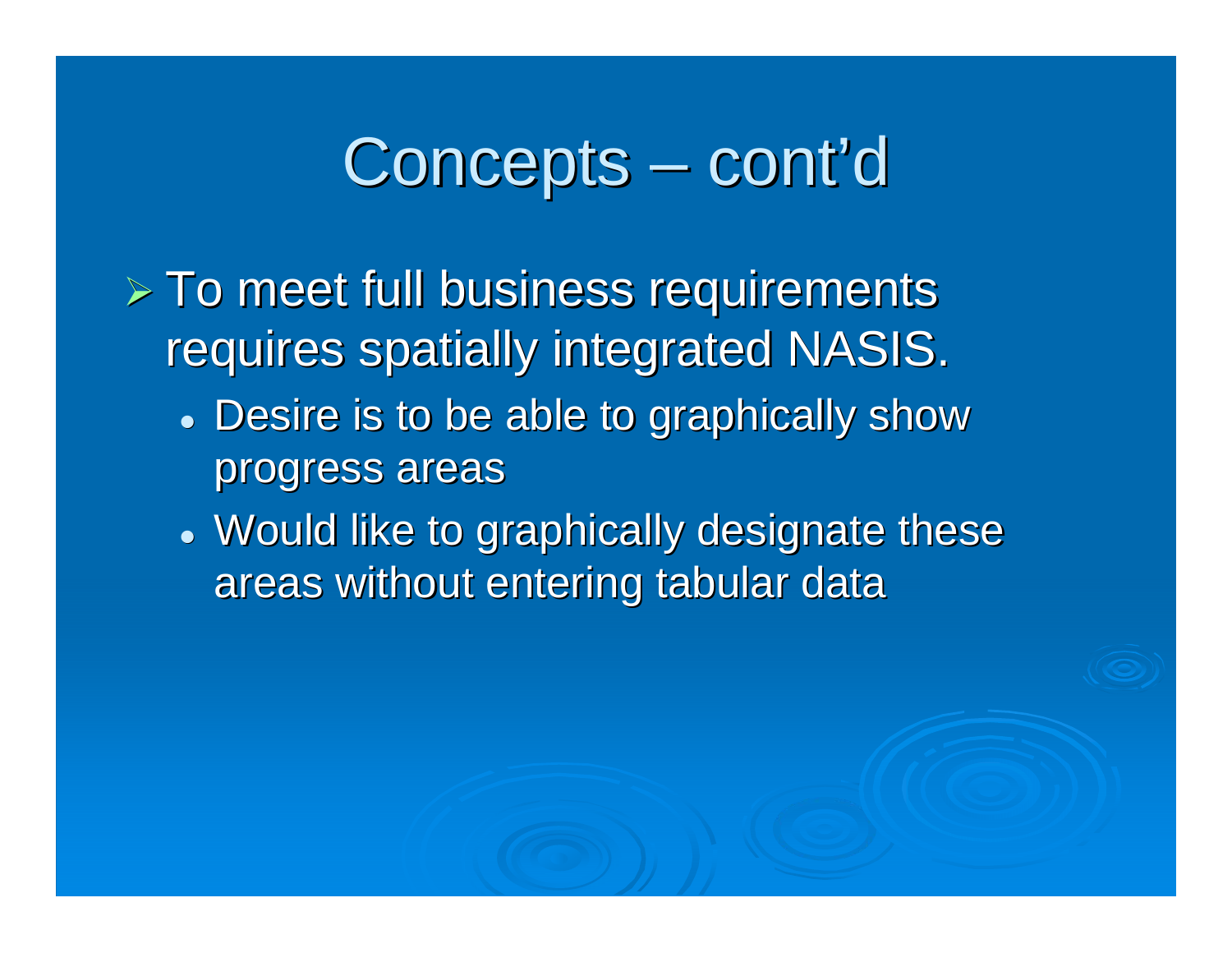### Concepts – cont'd

- $\triangleright$  To meet full business requirements requires spatially integrated NASIS.
	- Desire is to be able to graphically show progress areas
	- Would like to graphically designate these areas without entering tabular data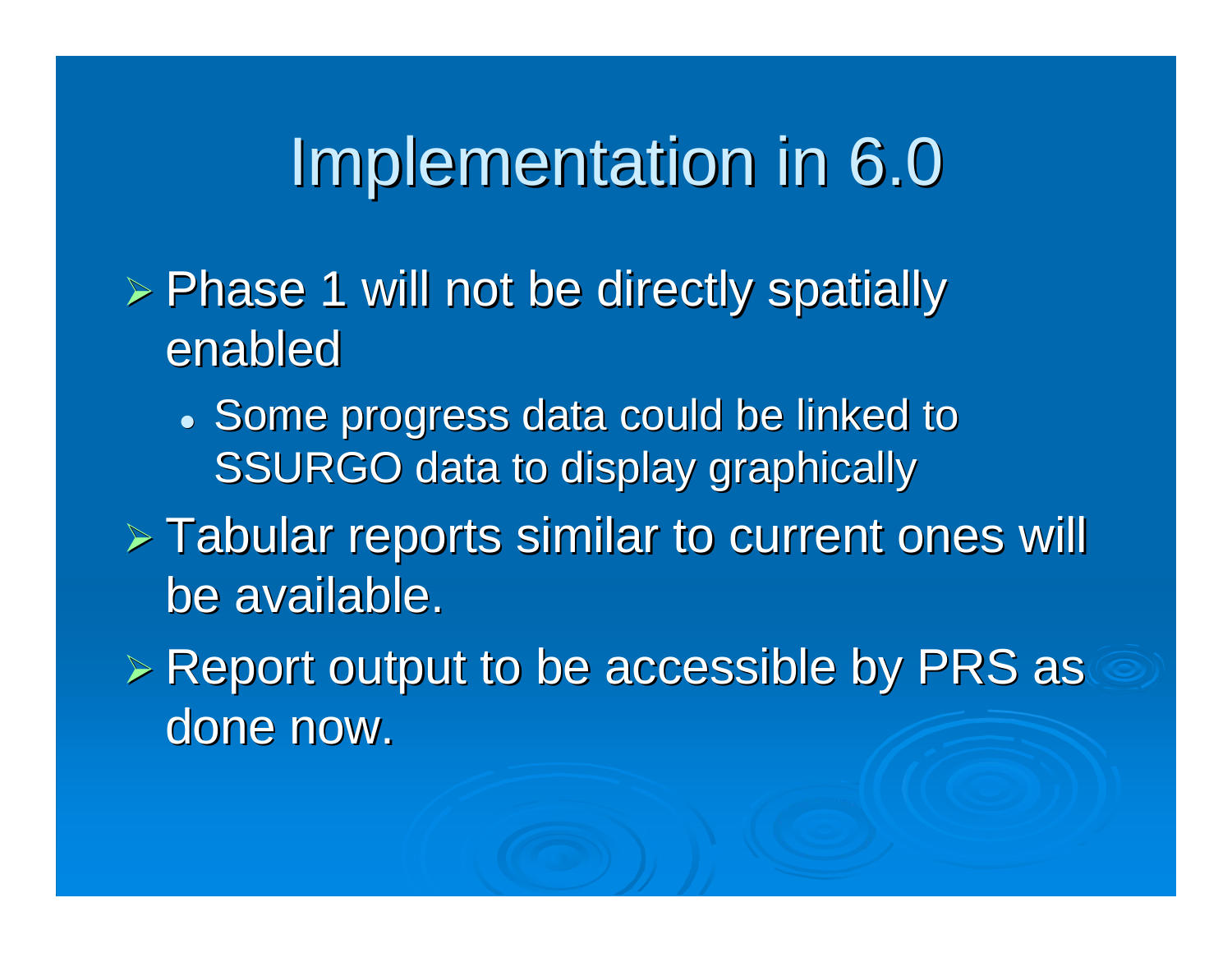# Implementation in 6.0

- $\triangleright$  Phase 1 will not be directly spatially enabled
	- Some progress data could be linked to SSURGO data to display graphically
- $\triangleright$  Tabular reports similar to current ones will be available.
- $\triangleright$  Report output to be accessible by PRS as  $\triangle$ done now.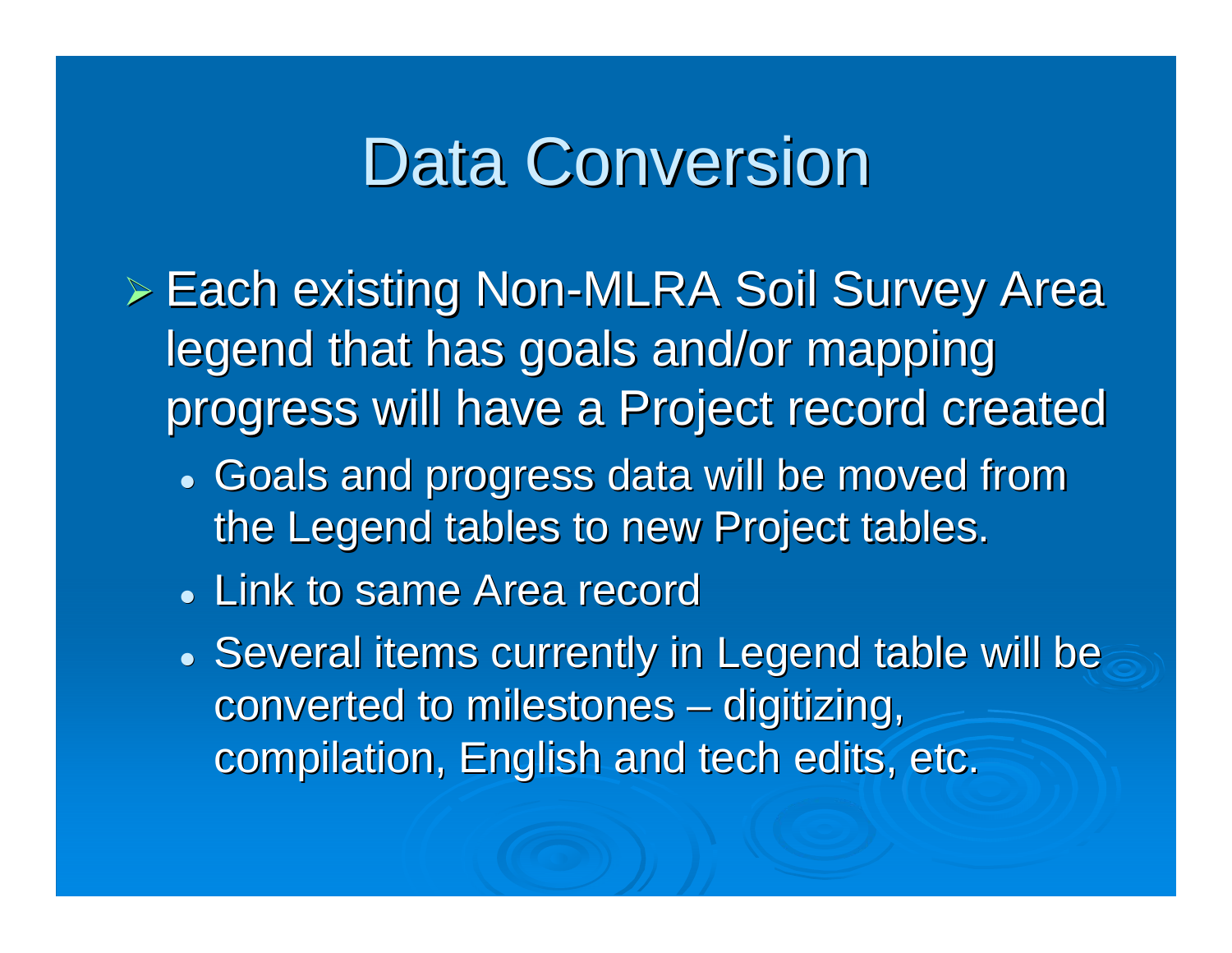# **Data Conversion**

- $\triangleright$  Each existing Non-MLRA Soil Survey Area legend that has goals and/or mapping progress will have a Project record created progress will have a Project record created
	- Goals and progress data will be moved from the Legend tables to new Project tables.
	- Link to same Area record
	- Several items currently in Legend table will be converted to milestones  $\mathcal{L}_{\mathcal{A}}$  $-$  digitizing,  $\,$ compilation, English and tech edits, etc.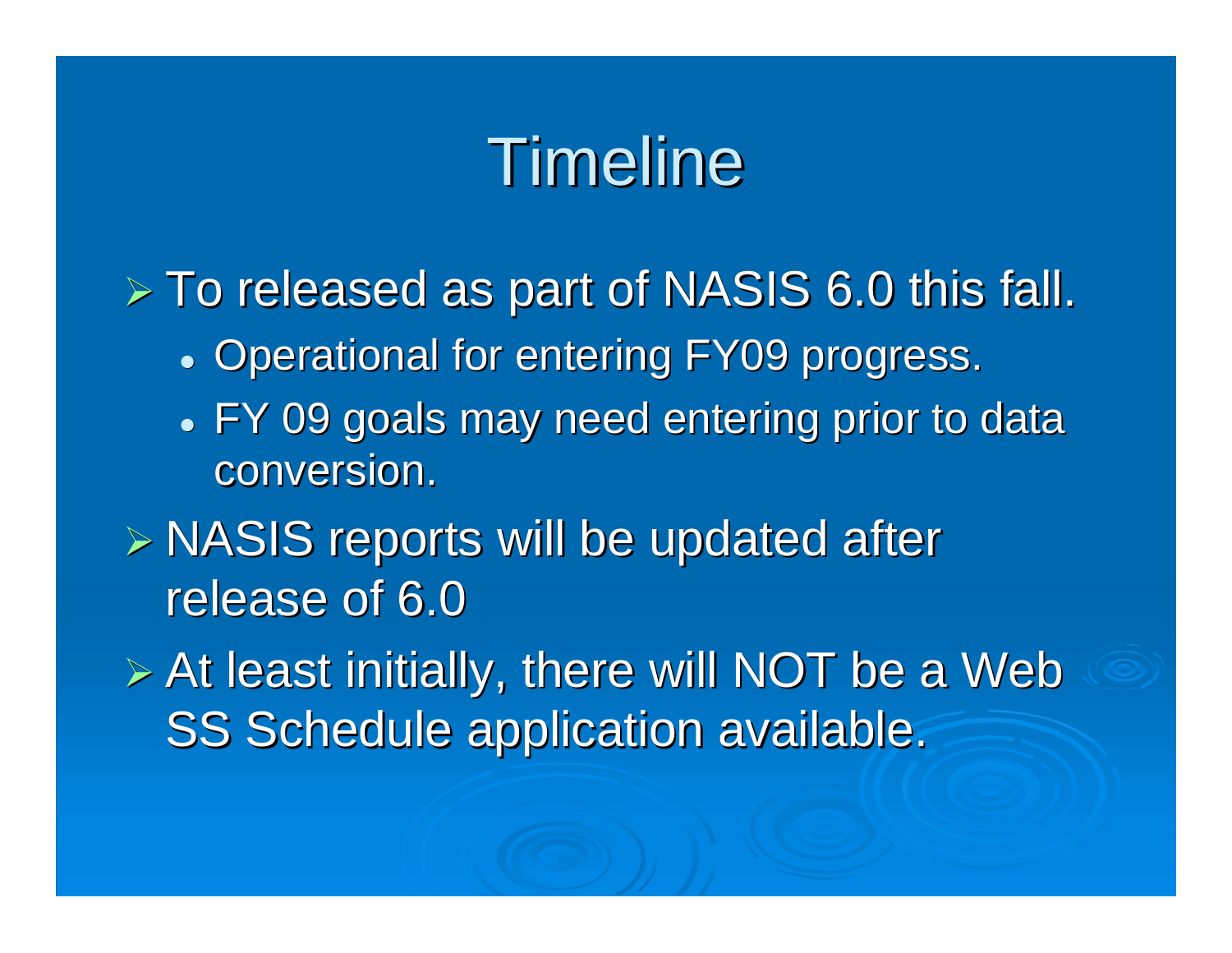# Timeline

 $>$  To released as part of NASIS 6.0 this fall.

- **Operational for entering FY09 progress.**
- FY 09 goals may need entering prior to data conversion.
- $\triangleright$  NASIS reports will be updated after release of 6.0

 $\triangleright$  At least initially, there will NOT be a Web SS Schedule application available.